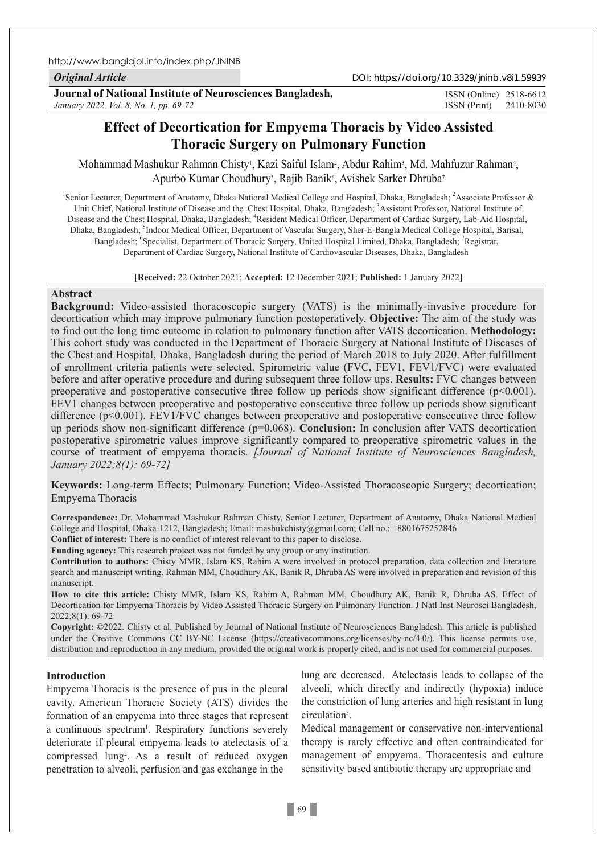http://www.banglajol.info/index.php/JNINB

*Original Article*

DOI: https://doi.org/10.3329/jninb.v8i1.59939

**Journal of National Institute of Neurosciences Bangladesh,** *January 2022, Vol. 8, No. 1, pp. 69-72*

ISSN (Print) 2410-8030 ISSN (Online) 2518-6612

# **Effect of Decortication for Empyema Thoracis by Video Assisted Thoracic Surgery on Pulmonary Function**

Mohammad Mashukur Rahman Chisty!, Kazi Saiful Islam², Abdur Rahim², Md. Mahfuzur Rahman4, Apurbo Kumar Choudhury<sup>s</sup>, Rajib Banik<sup>6</sup>, Avishek Sarker Dhruba<sup>7</sup>

<sup>1</sup>Senior Lecturer, Department of Anatomy, Dhaka National Medical College and Hospital, Dhaka, Bangladesh; <sup>2</sup>Associate Professor & Unit Chief, National Institute of Disease and the Chest Hospital, Dhaka, Bangladesh; <sup>3</sup>Assistant Professor, National Institute of Disease and the Chest Hospital, Dhaka, Bangladesh; <sup>4</sup>Resident Medical Officer, Department of Cardiac Surgery, Lab-Aid Hospital, Dhaka, Bangladesh; <sup>5</sup>Indoor Medical Officer, Department of Vascular Surgery, Sher-E-Bangla Medical College Hospital, Barisal, Bangladesh; <sup>6</sup>Specialist, Department of Thoracic Surgery, United Hospital Limited, Dhaka, Bangladesh; <sup>7</sup>Registrar, Department of Cardiac Surgery, National Institute of Cardiovascular Diseases, Dhaka, Bangladesh

[**Received:** 22 October 2021; **Accepted:** 12 December 2021; **Published:** 1 January 2022]

### **Abstract**

**Background:** Video-assisted thoracoscopic surgery (VATS) is the minimally-invasive procedure for decortication which may improve pulmonary function postoperatively. **Objective:** The aim of the study was to find out the long time outcome in relation to pulmonary function after VATS decortication. **Methodology:** This cohort study was conducted in the Department of Thoracic Surgery at National Institute of Diseases of the Chest and Hospital, Dhaka, Bangladesh during the period of March 2018 to July 2020. After fulfillment of enrollment criteria patients were selected. Spirometric value (FVC, FEV1, FEV1/FVC) were evaluated before and after operative procedure and during subsequent three follow ups. **Results:** FVC changes between preoperative and postoperative consecutive three follow up periods show significant difference ( $p<0.001$ ). FEV1 changes between preoperative and postoperative consecutive three follow up periods show significant difference (p<0.001). FEV1/FVC changes between preoperative and postoperative consecutive three follow up periods show non-significant difference (p=0.068). **Conclusion:** In conclusion after VATS decortication postoperative spirometric values improve significantly compared to preoperative spirometric values in the course of treatment of empyema thoracis. *[Journal of National Institute of Neurosciences Bangladesh, January 2022;8(1): 69-72]*

**Keywords:** Long-term Effects; Pulmonary Function; Video-Assisted Thoracoscopic Surgery; decortication; Empyema Thoracis

**Correspondence:** Dr. Mohammad Mashukur Rahman Chisty, Senior Lecturer, Department of Anatomy, Dhaka National Medical College and Hospital, Dhaka-1212, Bangladesh; Email: mashukchisty@gmail.com; Cell no.: +8801675252846

**Conflict of interest:** There is no conflict of interest relevant to this paper to disclose.

**Funding agency:** This research project was not funded by any group or any institution.

**Contribution to authors:** Chisty MMR, Islam KS, Rahim A were involved in protocol preparation, data collection and literature search and manuscript writing. Rahman MM, Choudhury AK, Banik R, Dhruba AS were involved in preparation and revision of this manuscript.

**How to cite this article:** Chisty MMR, Islam KS, Rahim A, Rahman MM, Choudhury AK, Banik R, Dhruba AS. Effect of Decortication for Empyema Thoracis by Video Assisted Thoracic Surgery on Pulmonary Function. J Natl Inst Neurosci Bangladesh, 2022;8(1): 69-72

**Copyright:** ©2022. Chisty et al. Published by Journal of National Institute of Neurosciences Bangladesh. This article is published under the Creative Commons CC BY-NC License (https://creativecommons.org/licenses/by-nc/4.0/). This license permits use, distribution and reproduction in any medium, provided the original work is properly cited, and is not used for commercial purposes.

## **Introduction**

Empyema Thoracis is the presence of pus in the pleural cavity. American Thoracic Society (ATS) divides the formation of an empyema into three stages that represent a continuous spectrum<sup>1</sup>. Respiratory functions severely deteriorate if pleural empyema leads to atelectasis of a compressed lung<sup>2</sup>. As a result of reduced oxygen penetration to alveoli, perfusion and gas exchange in the

lung are decreased. Atelectasis leads to collapse of the alveoli, which directly and indirectly (hypoxia) induce the constriction of lung arteries and high resistant in lung circulation3 .

Medical management or conservative non-interventional therapy is rarely effective and often contraindicated for management of empyema. Thoracentesis and culture sensitivity based antibiotic therapy are appropriate and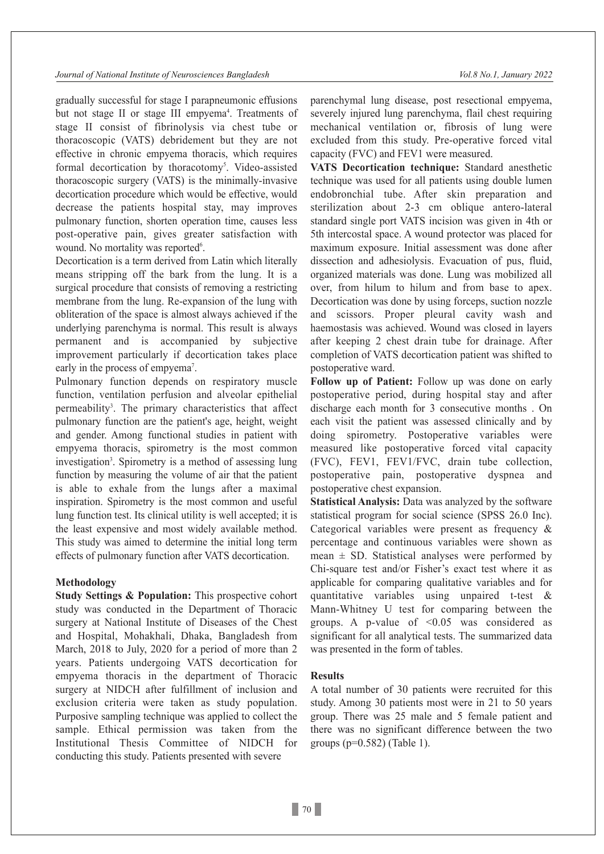gradually successful for stage I parapneumonic effusions but not stage II or stage III empyema<sup>4</sup>. Treatments of stage II consist of fibrinolysis via chest tube or thoracoscopic (VATS) debridement but they are not effective in chronic empyema thoracis, which requires formal decortication by thoracotomy<sup>5</sup>. Video-assisted thoracoscopic surgery (VATS) is the minimally-invasive decortication procedure which would be effective, would decrease the patients hospital stay, may improves pulmonary function, shorten operation time, causes less post-operative pain, gives greater satisfaction with wound. No mortality was reported<sup>6</sup>.

Decortication is a term derived from Latin which literally means stripping off the bark from the lung. It is a surgical procedure that consists of removing a restricting membrane from the lung. Re-expansion of the lung with obliteration of the space is almost always achieved if the underlying parenchyma is normal. This result is always permanent and is accompanied by subjective improvement particularly if decortication takes place early in the process of empyema<sup>7</sup>.

Pulmonary function depends on respiratory muscle function, ventilation perfusion and alveolar epithelial permeability<sup>3</sup>. The primary characteristics that affect pulmonary function are the patient's age, height, weight and gender. Among functional studies in patient with empyema thoracis, spirometry is the most common investigation<sup>3</sup>. Spirometry is a method of assessing lung function by measuring the volume of air that the patient is able to exhale from the lungs after a maximal inspiration. Spirometry is the most common and useful lung function test. Its clinical utility is well accepted; it is the least expensive and most widely available method. This study was aimed to determine the initial long term effects of pulmonary function after VATS decortication.

#### **Methodology**

**Study Settings & Population:** This prospective cohort study was conducted in the Department of Thoracic surgery at National Institute of Diseases of the Chest and Hospital, Mohakhali, Dhaka, Bangladesh from March, 2018 to July, 2020 for a period of more than 2 years. Patients undergoing VATS decortication for empyema thoracis in the department of Thoracic surgery at NIDCH after fulfillment of inclusion and exclusion criteria were taken as study population. Purposive sampling technique was applied to collect the sample. Ethical permission was taken from the Institutional Thesis Committee of NIDCH for conducting this study. Patients presented with severe

parenchymal lung disease, post resectional empyema, severely injured lung parenchyma, flail chest requiring mechanical ventilation or, fibrosis of lung were excluded from this study. Pre-operative forced vital capacity (FVC) and FEV1 were measured.

**VATS Decortication technique:** Standard anesthetic technique was used for all patients using double lumen endobronchial tube. After skin preparation and sterilization about 2-3 cm oblique antero-lateral standard single port VATS incision was given in 4th or 5th intercostal space. A wound protector was placed for maximum exposure. Initial assessment was done after dissection and adhesiolysis. Evacuation of pus, fluid, organized materials was done. Lung was mobilized all over, from hilum to hilum and from base to apex. Decortication was done by using forceps, suction nozzle and scissors. Proper pleural cavity wash and haemostasis was achieved. Wound was closed in layers after keeping 2 chest drain tube for drainage. After completion of VATS decortication patient was shifted to postoperative ward.

**Follow up of Patient:** Follow up was done on early postoperative period, during hospital stay and after discharge each month for 3 consecutive months . On each visit the patient was assessed clinically and by doing spirometry. Postoperative variables were measured like postoperative forced vital capacity (FVC), FEV1, FEV1/FVC, drain tube collection, postoperative pain, postoperative dyspnea and postoperative chest expansion.

**Statistical Analysis:** Data was analyzed by the software statistical program for social science (SPSS 26.0 Inc). Categorical variables were present as frequency & percentage and continuous variables were shown as mean  $\pm$  SD. Statistical analyses were performed by Chi-square test and/or Fisher's exact test where it as applicable for comparing qualitative variables and for quantitative variables using unpaired t-test & Mann-Whitney U test for comparing between the groups. A p-value of  $\leq 0.05$  was considered as significant for all analytical tests. The summarized data was presented in the form of tables.

#### **Results**

A total number of 30 patients were recruited for this study. Among 30 patients most were in 21 to 50 years group. There was 25 male and 5 female patient and there was no significant difference between the two groups (p=0.582) (Table 1).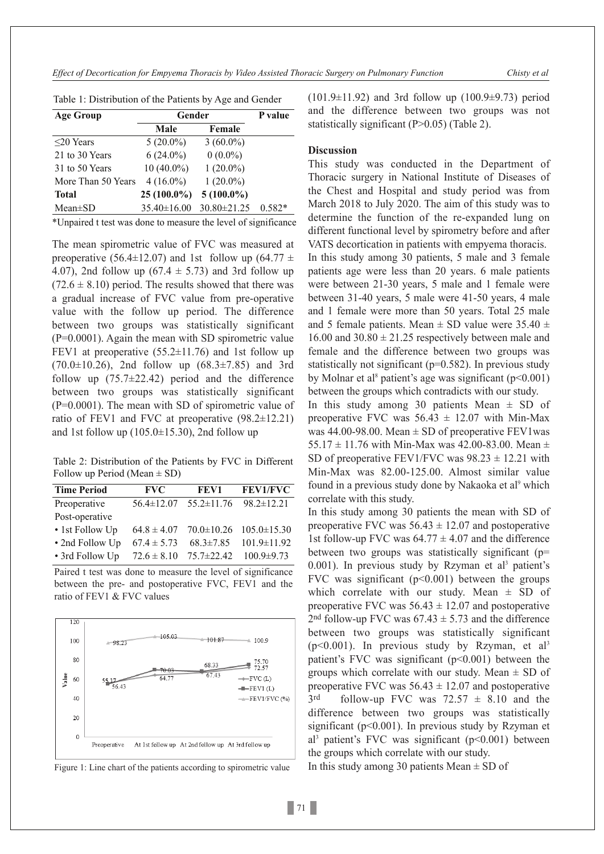*Effect of Decortication for Empyema Thoracis by Video Assisted Thoracic Surgery on Pulmonary Function Chisty et al*

| <b>Age Group</b>   | Gender       |              | P value  |
|--------------------|--------------|--------------|----------|
|                    | Male         | Female       |          |
| $\leq$ 20 Years    | $5(20.0\%)$  | $3(60.0\%)$  |          |
| 21 to 30 Years     | $6(24.0\%)$  | $0(0.0\%)$   |          |
| 31 to 50 Years     | $10(40.0\%)$ | $1(20.0\%)$  |          |
| More Than 50 Years | $4(16.0\%)$  | $1(20.0\%)$  |          |
| <b>Total</b>       | 25 (100.0%)  | $5(100.0\%)$ |          |
| $Mean \pm SD$      | 35.40±16.00  | 30.80±21.25  | $0.582*$ |

Table 1: Distribution of the Patients by Age and Gender

\*Unpaired t test was done to measure the level of significance

The mean spirometric value of FVC was measured at preoperative (56.4 $\pm$ 12.07) and 1st follow up (64.77  $\pm$ 4.07), 2nd follow up (67.4  $\pm$  5.73) and 3rd follow up  $(72.6 \pm 8.10)$  period. The results showed that there was a gradual increase of FVC value from pre-operative value with the follow up period. The difference between two groups was statistically significant (P=0.0001). Again the mean with SD spirometric value FEV1 at preoperative  $(55.2 \pm 11.76)$  and 1st follow up  $(70.0 \pm 10.26)$ , 2nd follow up  $(68.3 \pm 7.85)$  and 3rd follow up  $(75.7 \pm 22.42)$  period and the difference between two groups was statistically significant (P=0.0001). The mean with SD of spirometric value of ratio of FEV1 and FVC at preoperative (98.2±12.21) and 1st follow up  $(105.0 \pm 15.30)$ , 2nd follow up

Table 2: Distribution of the Patients by FVC in Different Follow up Period (Mean  $\pm$  SD)

| <b>Time Period</b> | <b>FVC</b>       | FEV1             | <b>FEV1/FVC</b>                    |
|--------------------|------------------|------------------|------------------------------------|
| Preoperative       | $56.4 \pm 12.07$ | $55.2 \pm 11.76$ | $98.2 \pm 12.21$                   |
| Post-operative     |                  |                  |                                    |
| • 1st Follow Up    | $64.8 \pm 4.07$  |                  | $70.0 \pm 10.26$ $105.0 \pm 15.30$ |
| • 2nd Follow Up    | $67.4 \pm 5.73$  | $68.3 \pm 7.85$  | $101.9 \pm 11.92$                  |
| • 3rd Follow Up    | $72.6 \pm 8.10$  | 75.7±22.42       | $100.9 \pm 9.73$                   |

Paired t test was done to measure the level of significance between the pre- and postoperative FVC, FEV1 and the ratio of FEV1 & FVC values



Figure 1: Line chart of the patients according to spirometric value

(101.9±11.92) and 3rd follow up (100.9±9.73) period and the difference between two groups was not statistically significant (P>0.05) (Table 2).

#### **Discussion**

This study was conducted in the Department of Thoracic surgery in National Institute of Diseases of the Chest and Hospital and study period was from March 2018 to July 2020. The aim of this study was to determine the function of the re-expanded lung on different functional level by spirometry before and after VATS decortication in patients with empyema thoracis. In this study among 30 patients, 5 male and 3 female patients age were less than 20 years. 6 male patients were between 21-30 years, 5 male and 1 female were between 31-40 years, 5 male were 41-50 years, 4 male and 1 female were more than 50 years. Total 25 male and 5 female patients. Mean  $\pm$  SD value were 35.40  $\pm$ 16.00 and  $30.80 \pm 21.25$  respectively between male and female and the difference between two groups was statistically not significant (p=0.582). In previous study by Molnar et al<sup>8</sup> patient's age was significant ( $p$ <0.001) between the groups which contradicts with our study.

In this study among 30 patients Mean  $\pm$  SD of preoperative FVC was  $56.43 \pm 12.07$  with Min-Max was 44.00-98.00. Mean  $\pm$  SD of preoperative FEV1was 55.17  $\pm$  11.76 with Min-Max was 42.00-83.00. Mean  $\pm$ SD of preoperative FEV1/FVC was  $98.23 \pm 12.21$  with Min-Max was 82.00-125.00. Almost similar value found in a previous study done by Nakaoka et al<sup>9</sup> which correlate with this study.

In this study among 30 patients the mean with SD of preoperative FVC was  $56.43 \pm 12.07$  and postoperative 1st follow-up FVC was  $64.77 \pm 4.07$  and the difference between two groups was statistically significant  $(p=$  $0.001$ ). In previous study by Rzyman et al<sup>3</sup> patient's FVC was significant  $(p<0.001)$  between the groups which correlate with our study. Mean  $\pm$  SD of preoperative FVC was  $56.43 \pm 12.07$  and postoperative 2<sup>nd</sup> follow-up FVC was  $67.43 \pm 5.73$  and the difference between two groups was statistically significant  $(p<0.001)$ . In previous study by Rzyman, et al<sup>3</sup> patient's FVC was significant  $(p<0.001)$  between the groups which correlate with our study. Mean  $\pm$  SD of preoperative FVC was  $56.43 \pm 12.07$  and postoperative  $3<sup>rd</sup>$  follow-up FVC was 72.57  $\pm$  8.10 and the difference between two groups was statistically significant ( $p$ <0.001). In previous study by Rzyman et al<sup>3</sup> patient's FVC was significant  $(p<0.001)$  between the groups which correlate with our study.

In this study among 30 patients Mean  $\pm$  SD of